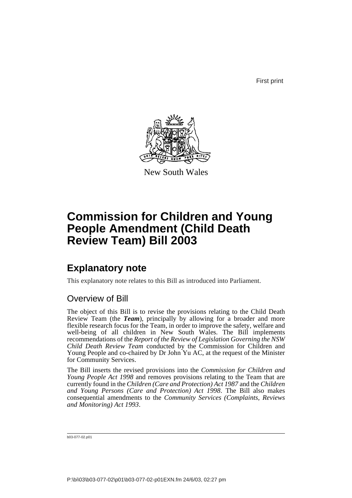First print



New South Wales

# **Commission for Children and Young People Amendment (Child Death Review Team) Bill 2003**

## **Explanatory note**

This explanatory note relates to this Bill as introduced into Parliament.

## Overview of Bill

The object of this Bill is to revise the provisions relating to the Child Death Review Team (the *Team*), principally by allowing for a broader and more flexible research focus for the Team, in order to improve the safety, welfare and well-being of all children in New South Wales. The Bill implements recommendations of the *Report of the Review of Legislation Governing the NSW Child Death Review Team* conducted by the Commission for Children and Young People and co-chaired by Dr John Yu AC, at the request of the Minister for Community Services.

The Bill inserts the revised provisions into the *Commission for Children and Young People Act 1998* and removes provisions relating to the Team that are currently found in the *Children (Care and Protection) Act 1987* and the *Children and Young Persons (Care and Protection) Act 1998*. The Bill also makes consequential amendments to the *Community Services (Complaints, Reviews and Monitoring) Act 1993*.

b03-077-02.p01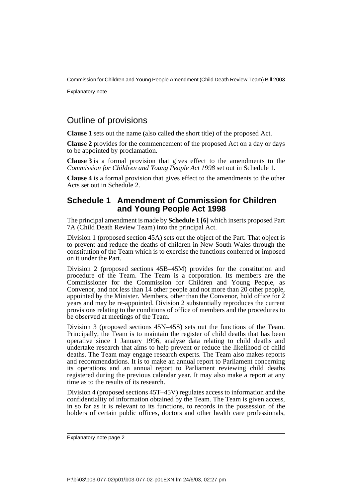Explanatory note

## Outline of provisions

**Clause 1** sets out the name (also called the short title) of the proposed Act.

**Clause 2** provides for the commencement of the proposed Act on a day or days to be appointed by proclamation.

**Clause 3** is a formal provision that gives effect to the amendments to the *Commission for Children and Young People Act 1998* set out in Schedule 1.

**Clause 4** is a formal provision that gives effect to the amendments to the other Acts set out in Schedule 2.

### **Schedule 1 Amendment of Commission for Children and Young People Act 1998**

The principal amendment is made by **Schedule 1 [6]** which inserts proposed Part 7A (Child Death Review Team) into the principal Act.

Division 1 (proposed section 45A) sets out the object of the Part. That object is to prevent and reduce the deaths of children in New South Wales through the constitution of the Team which is to exercise the functions conferred or imposed on it under the Part.

Division 2 (proposed sections 45B–45M) provides for the constitution and procedure of the Team. The Team is a corporation. Its members are the Commissioner for the Commission for Children and Young People, as Convenor, and not less than 14 other people and not more than 20 other people, appointed by the Minister. Members, other than the Convenor, hold office for 2 years and may be re-appointed. Division 2 substantially reproduces the current provisions relating to the conditions of office of members and the procedures to be observed at meetings of the Team.

Division 3 (proposed sections 45N–45S) sets out the functions of the Team. Principally, the Team is to maintain the register of child deaths that has been operative since 1 January 1996, analyse data relating to child deaths and undertake research that aims to help prevent or reduce the likelihood of child deaths. The Team may engage research experts. The Team also makes reports and recommendations. It is to make an annual report to Parliament concerning its operations and an annual report to Parliament reviewing child deaths registered during the previous calendar year. It may also make a report at any time as to the results of its research.

Division 4 (proposed sections 45T–45V) regulates access to information and the confidentiality of information obtained by the Team. The Team is given access, in so far as it is relevant to its functions, to records in the possession of the holders of certain public offices, doctors and other health care professionals,

Explanatory note page 2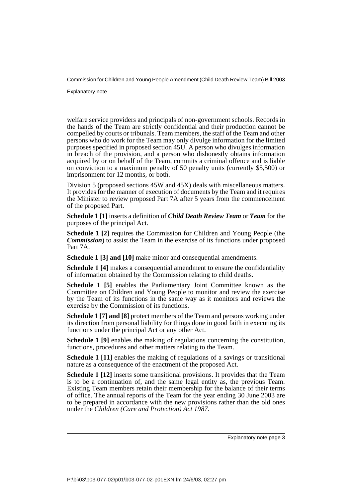Explanatory note

welfare service providers and principals of non-government schools. Records in the hands of the Team are strictly confidential and their production cannot be compelled by courts or tribunals. Team members, the staff of the Team and other persons who do work for the Team may only divulge information for the limited purposes specified in proposed section 45U. A person who divulges information in breach of the provision, and a person who dishonestly obtains information acquired by or on behalf of the Team, commits a criminal offence and is liable on conviction to a maximum penalty of 50 penalty units (currently \$5,500) or imprisonment for 12 months, or both.

Division 5 (proposed sections 45W and 45X) deals with miscellaneous matters. It provides for the manner of execution of documents by the Team and it requires the Minister to review proposed Part 7A after 5 years from the commencement of the proposed Part.

**Schedule 1 [1]** inserts a definition of *Child Death Review Team* or *Team* for the purposes of the principal Act.

**Schedule 1 [2]** requires the Commission for Children and Young People (the *Commission*) to assist the Team in the exercise of its functions under proposed Part 7A.

**Schedule 1 [3] and [10]** make minor and consequential amendments.

**Schedule 1 [4]** makes a consequential amendment to ensure the confidentiality of information obtained by the Commission relating to child deaths.

**Schedule 1 [5]** enables the Parliamentary Joint Committee known as the Committee on Children and Young People to monitor and review the exercise by the Team of its functions in the same way as it monitors and reviews the exercise by the Commission of its functions.

**Schedule 1 [7] and [8]** protect members of the Team and persons working under its direction from personal liability for things done in good faith in executing its functions under the principal Act or any other Act.

**Schedule 1 [9]** enables the making of regulations concerning the constitution, functions, procedures and other matters relating to the Team.

**Schedule 1 [11]** enables the making of regulations of a savings or transitional nature as a consequence of the enactment of the proposed Act.

**Schedule 1 [12]** inserts some transitional provisions. It provides that the Team is to be a continuation of, and the same legal entity as, the previous Team. Existing Team members retain their membership for the balance of their terms of office. The annual reports of the Team for the year ending 30 June 2003 are to be prepared in accordance with the new provisions rather than the old ones under the *Children (Care and Protection) Act 1987*.

Explanatory note page 3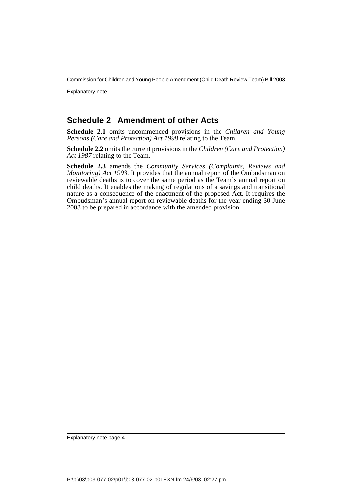Explanatory note

## **Schedule 2 Amendment of other Acts**

**Schedule 2.1** omits uncommenced provisions in the *Children and Young Persons (Care and Protection) Act 1998* relating to the Team.

**Schedule 2.2** omits the current provisions in the *Children (Care and Protection) Act 1987* relating to the Team.

**Schedule 2.3** amends the *Community Services (Complaints, Reviews and Monitoring) Act 1993*. It provides that the annual report of the Ombudsman on reviewable deaths is to cover the same period as the Team's annual report on child deaths. It enables the making of regulations of a savings and transitional nature as a consequence of the enactment of the proposed Act. It requires the Ombudsman's annual report on reviewable deaths for the year ending 30 June 2003 to be prepared in accordance with the amended provision.

Explanatory note page 4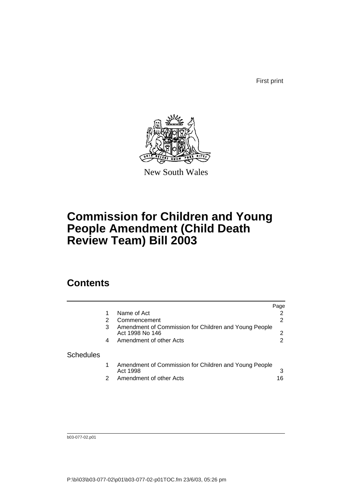First print



New South Wales

# **Commission for Children and Young People Amendment (Child Death Review Team) Bill 2003**

## **Contents**

|                  |   |                                                                          | Page |
|------------------|---|--------------------------------------------------------------------------|------|
|                  |   | Name of Act                                                              |      |
|                  |   | Commencement                                                             |      |
|                  | 3 | Amendment of Commission for Children and Young People<br>Act 1998 No 146 | ົ    |
|                  | 4 | Amendment of other Acts                                                  |      |
| <b>Schedules</b> |   |                                                                          |      |
|                  |   | Amendment of Commission for Children and Young People<br>Act 1998        |      |
|                  |   | Amendment of other Acts                                                  | 16   |

b03-077-02.p01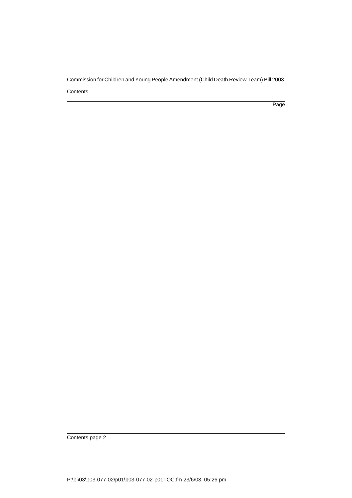Page

Contents page 2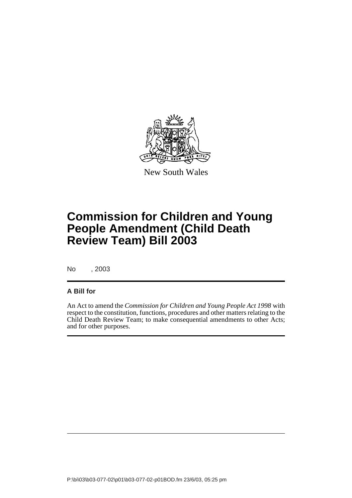

New South Wales

# **Commission for Children and Young People Amendment (Child Death Review Team) Bill 2003**

No , 2003

### **A Bill for**

An Act to amend the *Commission for Children and Young People Act 1998* with respect to the constitution, functions, procedures and other matters relating to the Child Death Review Team; to make consequential amendments to other Acts; and for other purposes.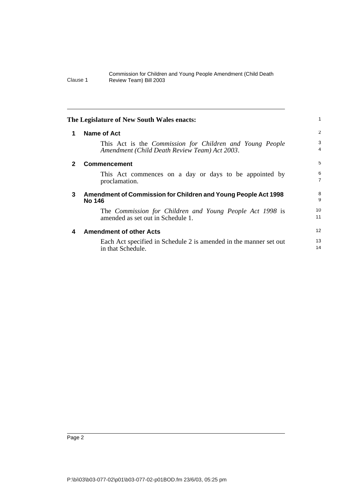<span id="page-7-3"></span><span id="page-7-2"></span><span id="page-7-1"></span><span id="page-7-0"></span>

|   | The Legislature of New South Wales enacts:                                                                       | 1                   |
|---|------------------------------------------------------------------------------------------------------------------|---------------------|
| 1 | Name of Act                                                                                                      | 2                   |
|   | This Act is the <i>Commission for Children and Young People</i><br>Amendment (Child Death Review Team) Act 2003. | 3<br>$\overline{4}$ |
| 2 | <b>Commencement</b>                                                                                              | 5                   |
|   | This Act commences on a day or days to be appointed by<br>proclamation.                                          | 6<br>$\overline{7}$ |
| 3 | Amendment of Commission for Children and Young People Act 1998<br><b>No 146</b>                                  | 8<br>9              |
|   | The Commission for Children and Young People Act 1998 is<br>amended as set out in Schedule 1.                    | 10<br>11            |
| 4 | <b>Amendment of other Acts</b>                                                                                   | 12                  |
|   | Each Act specified in Schedule 2 is amended in the manner set out<br>in that Schedule.                           | 13<br>14            |
|   |                                                                                                                  |                     |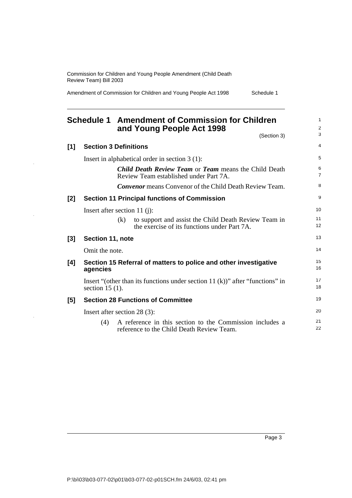Amendment of Commission for Children and Young People Act 1998 Schedule 1

<span id="page-8-0"></span>

|       |                   | <b>Schedule 1 Amendment of Commission for Children</b><br>and Young People Act 1998<br>(Section 3)          |                     |
|-------|-------------------|-------------------------------------------------------------------------------------------------------------|---------------------|
| $[1]$ |                   | <b>Section 3 Definitions</b>                                                                                | $\overline{4}$      |
|       |                   | Insert in alphabetical order in section $3(1)$ :                                                            | 5                   |
|       |                   | <b>Child Death Review Team or Team means the Child Death</b><br>Review Team established under Part 7A.      | 6<br>$\overline{7}$ |
|       |                   | <b>Convenor</b> means Convenor of the Child Death Review Team.                                              | 8                   |
| [2]   |                   | <b>Section 11 Principal functions of Commission</b>                                                         | 9                   |
|       |                   | Insert after section 11 (j):                                                                                | 10                  |
|       |                   | to support and assist the Child Death Review Team in<br>(k)<br>the exercise of its functions under Part 7A. | 11<br>12            |
| [3]   | Section 11, note  |                                                                                                             | 13                  |
|       | Omit the note.    |                                                                                                             | 14                  |
| [4]   | agencies          | Section 15 Referral of matters to police and other investigative                                            | 15<br>16            |
|       | section $15(1)$ . | Insert "(other than its functions under section 11 $(k)$ )" after "functions" in                            | 17<br>18            |
| [5]   |                   | <b>Section 28 Functions of Committee</b>                                                                    | 19                  |
|       |                   | Insert after section 28 (3):                                                                                | 20                  |
|       | (4)               | A reference in this section to the Commission includes a<br>reference to the Child Death Review Team.       | 21<br>22            |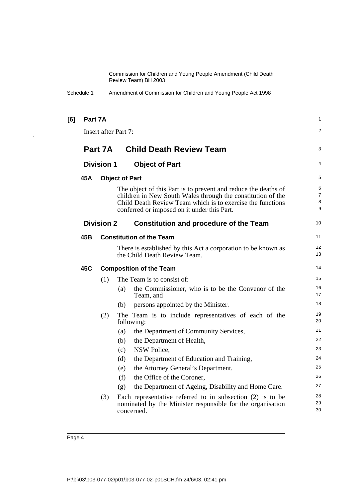Schedule 1 Amendment of Commission for Children and Young People Act 1998

| [6] | Part 7A              |                   |                                                                                                                                                                                                                                            | 1                |  |  |
|-----|----------------------|-------------------|--------------------------------------------------------------------------------------------------------------------------------------------------------------------------------------------------------------------------------------------|------------------|--|--|
|     | Insert after Part 7: |                   |                                                                                                                                                                                                                                            |                  |  |  |
|     |                      | Part 7A           | <b>Child Death Review Team</b>                                                                                                                                                                                                             | 3                |  |  |
|     |                      | <b>Division 1</b> | <b>Object of Part</b>                                                                                                                                                                                                                      | 4                |  |  |
|     | 45A                  |                   | <b>Object of Part</b>                                                                                                                                                                                                                      | 5                |  |  |
|     |                      |                   | The object of this Part is to prevent and reduce the deaths of<br>children in New South Wales through the constitution of the<br>Child Death Review Team which is to exercise the functions<br>conferred or imposed on it under this Part. | 6<br>7<br>8<br>9 |  |  |
|     |                      | <b>Division 2</b> | <b>Constitution and procedure of the Team</b>                                                                                                                                                                                              | 10               |  |  |
|     | 45B                  |                   | <b>Constitution of the Team</b>                                                                                                                                                                                                            | 11               |  |  |
|     |                      |                   | There is established by this Act a corporation to be known as<br>the Child Death Review Team.                                                                                                                                              | 12<br>13         |  |  |
|     | 45C                  |                   | <b>Composition of the Team</b>                                                                                                                                                                                                             | 14               |  |  |
|     |                      | (1)               | The Team is to consist of:                                                                                                                                                                                                                 | 15               |  |  |
|     |                      |                   | the Commissioner, who is to be the Convenor of the<br>(a)<br>Team, and                                                                                                                                                                     | 16<br>17         |  |  |
|     |                      |                   | persons appointed by the Minister.<br>(b)                                                                                                                                                                                                  | 18               |  |  |
|     |                      | (2)               | The Team is to include representatives of each of the<br>following:                                                                                                                                                                        | 19<br>20         |  |  |
|     |                      |                   | (a)<br>the Department of Community Services,                                                                                                                                                                                               | 21               |  |  |
|     |                      |                   | the Department of Health,<br>(b)                                                                                                                                                                                                           | 22               |  |  |
|     |                      |                   | <b>NSW Police,</b><br>(c)                                                                                                                                                                                                                  | 23               |  |  |
|     |                      |                   | the Department of Education and Training,<br>(d)                                                                                                                                                                                           | 24               |  |  |
|     |                      |                   | the Attorney General's Department,<br>(e)                                                                                                                                                                                                  | 25               |  |  |
|     |                      |                   | (f)<br>the Office of the Coroner,                                                                                                                                                                                                          | 26               |  |  |
|     |                      |                   | the Department of Ageing, Disability and Home Care.<br>(g)                                                                                                                                                                                 | 27               |  |  |
|     |                      | (3)               | Each representative referred to in subsection $(2)$ is to be<br>nominated by the Minister responsible for the organisation<br>concerned.                                                                                                   | 28<br>29<br>30   |  |  |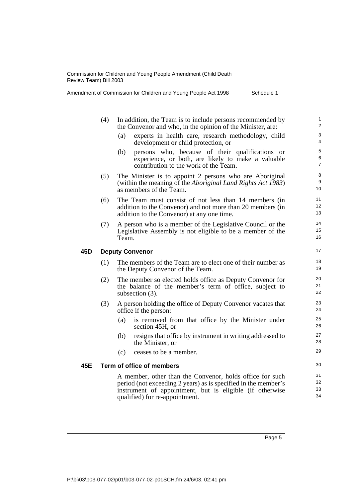| Amendment of Commission for Children and Young People Act 1998 | Schedule 1 |
|----------------------------------------------------------------|------------|
|----------------------------------------------------------------|------------|

|      | (4) | In addition, the Team is to include persons recommended by<br>the Convenor and who, in the opinion of the Minister, are:                                                                                                 | 1<br>$\overline{2}$      |
|------|-----|--------------------------------------------------------------------------------------------------------------------------------------------------------------------------------------------------------------------------|--------------------------|
|      |     | (a)<br>experts in health care, research methodology, child<br>development or child protection, or                                                                                                                        | 3<br>$\overline{4}$      |
|      |     | persons who, because of their qualifications or<br>(b)<br>experience, or both, are likely to make a valuable<br>contribution to the work of the Team.                                                                    | 5<br>6<br>$\overline{7}$ |
|      | (5) | The Minister is to appoint 2 persons who are Aboriginal<br>(within the meaning of the <i>Aboriginal Land Rights Act 1983</i> )<br>as members of the Team.                                                                | 8<br>9<br>10             |
|      | (6) | The Team must consist of not less than 14 members (in<br>addition to the Convenor) and not more than 20 members (in<br>addition to the Convenor) at any one time.                                                        | 11<br>12<br>13           |
|      | (7) | A person who is a member of the Legislative Council or the<br>Legislative Assembly is not eligible to be a member of the<br>Team.                                                                                        | 14<br>15<br>16           |
| 45D  |     | <b>Deputy Convenor</b>                                                                                                                                                                                                   | 17                       |
|      | (1) | The members of the Team are to elect one of their number as<br>the Deputy Convenor of the Team.                                                                                                                          | 18<br>19                 |
|      | (2) | The member so elected holds office as Deputy Convenor for<br>the balance of the member's term of office, subject to<br>subsection $(3)$ .                                                                                | 20<br>21<br>22           |
|      | (3) | A person holding the office of Deputy Convenor vacates that<br>office if the person:                                                                                                                                     | 23<br>24                 |
|      |     | is removed from that office by the Minister under<br>(a)<br>section 45H, or                                                                                                                                              | 25<br>26                 |
|      |     | resigns that office by instrument in writing addressed to<br>(b)<br>the Minister, or                                                                                                                                     | 27<br>28                 |
|      |     | ceases to be a member.<br>(c)                                                                                                                                                                                            | 29                       |
| 45E. |     | Term of office of members                                                                                                                                                                                                | 30                       |
|      |     | A member, other than the Convenor, holds office for such<br>period (not exceeding 2 years) as is specified in the member's<br>instrument of appointment, but is eligible (if otherwise<br>qualified) for re-appointment. | 31<br>32<br>33<br>34     |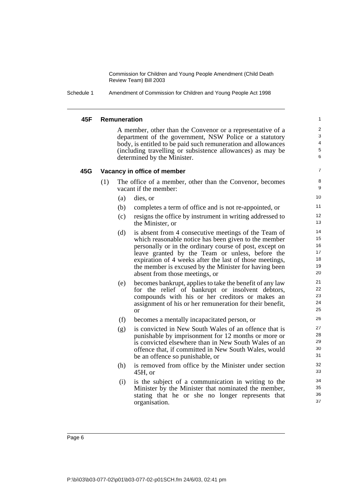Schedule 1 Amendment of Commission for Children and Young People Act 1998

#### **45F Remuneration**

A member, other than the Convenor or a representative of a department of the government, NSW Police or a statutory body, is entitled to be paid such remuneration and allowances (including travelling or subsistence allowances) as may be determined by the Minister.

#### **45G Vacancy in office of member**

- (1) The office of a member, other than the Convenor, becomes vacant if the member:
	- (a) dies, or
	- (b) completes a term of office and is not re-appointed, or
	- (c) resigns the office by instrument in writing addressed to the Minister, or
	- (d) is absent from 4 consecutive meetings of the Team of which reasonable notice has been given to the member personally or in the ordinary course of post, except on leave granted by the Team or unless, before the expiration of 4 weeks after the last of those meetings, the member is excused by the Minister for having been absent from those meetings, or
	- (e) becomes bankrupt, applies to take the benefit of any law for the relief of bankrupt or insolvent debtors, compounds with his or her creditors or makes an assignment of his or her remuneration for their benefit, or
	- (f) becomes a mentally incapacitated person, or
	- (g) is convicted in New South Wales of an offence that is punishable by imprisonment for 12 months or more or is convicted elsewhere than in New South Wales of an offence that, if committed in New South Wales, would be an offence so punishable, or
	- (h) is removed from office by the Minister under section 45H, or
	- (i) is the subject of a communication in writing to the Minister by the Minister that nominated the member, stating that he or she no longer represents that organisation.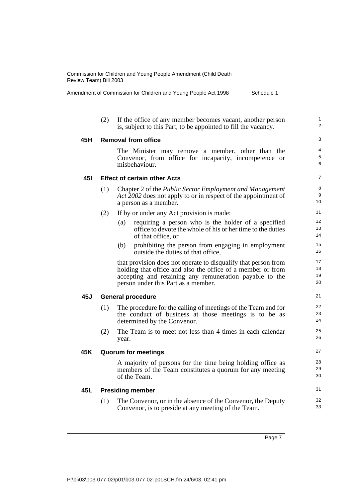| (2)<br>If the office of any member becomes vacant, another person<br>is, subject to this Part, to be appointed to fill the vacancy.<br><b>Removal from office</b><br>The Minister may remove a member, other than the<br>Convenor, from office for incapacity, incompetence or<br>misbehaviour.<br><b>Effect of certain other Acts</b><br>Chapter 2 of the <i>Public Sector Employment and Management</i><br>(1)<br>Act 2002 does not apply to or in respect of the appointment of<br>a person as a member.<br>(2)<br>If by or under any Act provision is made:<br>requiring a person who is the holder of a specified<br>(a)<br>office to devote the whole of his or her time to the duties<br>of that office, or<br>(b)<br>prohibiting the person from engaging in employment<br>outside the duties of that office,<br>that provision does not operate to disqualify that person from<br>holding that office and also the office of a member or from<br>accepting and retaining any remuneration payable to the<br>person under this Part as a member.<br><b>General procedure</b><br>The procedure for the calling of meetings of the Team and for<br>(1)<br>the conduct of business at those meetings is to be as<br>determined by the Convenor.<br>The Team is to meet not less than 4 times in each calendar<br>(2)<br>year.<br><b>Quorum for meetings</b><br>A majority of persons for the time being holding office as<br>members of the Team constitutes a quorum for any meeting<br>of the Team.<br><b>Presiding member</b> |     |     |                                                             |
|---------------------------------------------------------------------------------------------------------------------------------------------------------------------------------------------------------------------------------------------------------------------------------------------------------------------------------------------------------------------------------------------------------------------------------------------------------------------------------------------------------------------------------------------------------------------------------------------------------------------------------------------------------------------------------------------------------------------------------------------------------------------------------------------------------------------------------------------------------------------------------------------------------------------------------------------------------------------------------------------------------------------------------------------------------------------------------------------------------------------------------------------------------------------------------------------------------------------------------------------------------------------------------------------------------------------------------------------------------------------------------------------------------------------------------------------------------------------------------------------------------------------------------------|-----|-----|-------------------------------------------------------------|
|                                                                                                                                                                                                                                                                                                                                                                                                                                                                                                                                                                                                                                                                                                                                                                                                                                                                                                                                                                                                                                                                                                                                                                                                                                                                                                                                                                                                                                                                                                                                       |     |     |                                                             |
|                                                                                                                                                                                                                                                                                                                                                                                                                                                                                                                                                                                                                                                                                                                                                                                                                                                                                                                                                                                                                                                                                                                                                                                                                                                                                                                                                                                                                                                                                                                                       | 45H |     |                                                             |
|                                                                                                                                                                                                                                                                                                                                                                                                                                                                                                                                                                                                                                                                                                                                                                                                                                                                                                                                                                                                                                                                                                                                                                                                                                                                                                                                                                                                                                                                                                                                       |     |     |                                                             |
|                                                                                                                                                                                                                                                                                                                                                                                                                                                                                                                                                                                                                                                                                                                                                                                                                                                                                                                                                                                                                                                                                                                                                                                                                                                                                                                                                                                                                                                                                                                                       | 45I |     |                                                             |
|                                                                                                                                                                                                                                                                                                                                                                                                                                                                                                                                                                                                                                                                                                                                                                                                                                                                                                                                                                                                                                                                                                                                                                                                                                                                                                                                                                                                                                                                                                                                       |     |     |                                                             |
|                                                                                                                                                                                                                                                                                                                                                                                                                                                                                                                                                                                                                                                                                                                                                                                                                                                                                                                                                                                                                                                                                                                                                                                                                                                                                                                                                                                                                                                                                                                                       |     |     |                                                             |
|                                                                                                                                                                                                                                                                                                                                                                                                                                                                                                                                                                                                                                                                                                                                                                                                                                                                                                                                                                                                                                                                                                                                                                                                                                                                                                                                                                                                                                                                                                                                       |     |     |                                                             |
|                                                                                                                                                                                                                                                                                                                                                                                                                                                                                                                                                                                                                                                                                                                                                                                                                                                                                                                                                                                                                                                                                                                                                                                                                                                                                                                                                                                                                                                                                                                                       |     |     |                                                             |
|                                                                                                                                                                                                                                                                                                                                                                                                                                                                                                                                                                                                                                                                                                                                                                                                                                                                                                                                                                                                                                                                                                                                                                                                                                                                                                                                                                                                                                                                                                                                       |     |     |                                                             |
|                                                                                                                                                                                                                                                                                                                                                                                                                                                                                                                                                                                                                                                                                                                                                                                                                                                                                                                                                                                                                                                                                                                                                                                                                                                                                                                                                                                                                                                                                                                                       | 45J |     |                                                             |
|                                                                                                                                                                                                                                                                                                                                                                                                                                                                                                                                                                                                                                                                                                                                                                                                                                                                                                                                                                                                                                                                                                                                                                                                                                                                                                                                                                                                                                                                                                                                       |     |     |                                                             |
|                                                                                                                                                                                                                                                                                                                                                                                                                                                                                                                                                                                                                                                                                                                                                                                                                                                                                                                                                                                                                                                                                                                                                                                                                                                                                                                                                                                                                                                                                                                                       |     |     |                                                             |
|                                                                                                                                                                                                                                                                                                                                                                                                                                                                                                                                                                                                                                                                                                                                                                                                                                                                                                                                                                                                                                                                                                                                                                                                                                                                                                                                                                                                                                                                                                                                       | 45K |     |                                                             |
|                                                                                                                                                                                                                                                                                                                                                                                                                                                                                                                                                                                                                                                                                                                                                                                                                                                                                                                                                                                                                                                                                                                                                                                                                                                                                                                                                                                                                                                                                                                                       |     |     |                                                             |
|                                                                                                                                                                                                                                                                                                                                                                                                                                                                                                                                                                                                                                                                                                                                                                                                                                                                                                                                                                                                                                                                                                                                                                                                                                                                                                                                                                                                                                                                                                                                       | 45L |     |                                                             |
| Convenor, is to preside at any meeting of the Team.                                                                                                                                                                                                                                                                                                                                                                                                                                                                                                                                                                                                                                                                                                                                                                                                                                                                                                                                                                                                                                                                                                                                                                                                                                                                                                                                                                                                                                                                                   |     | (1) | The Convenor, or in the absence of the Convenor, the Deputy |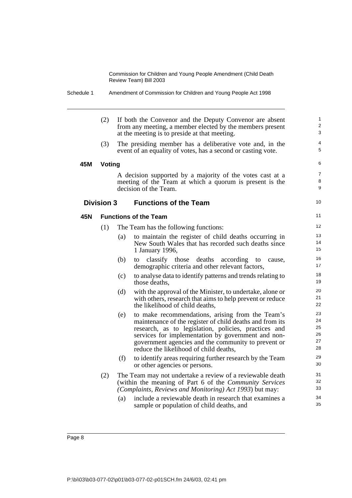|     | (2)               |     | If both the Convenor and the Deputy Convenor are absent<br>from any meeting, a member elected by the members present<br>at the meeting is to preside at that meeting.                                                                                                                                                       |
|-----|-------------------|-----|-----------------------------------------------------------------------------------------------------------------------------------------------------------------------------------------------------------------------------------------------------------------------------------------------------------------------------|
|     | (3)               |     | The presiding member has a deliberative vote and, in the<br>event of an equality of votes, has a second or casting vote.                                                                                                                                                                                                    |
| 45M | <b>Voting</b>     |     |                                                                                                                                                                                                                                                                                                                             |
|     |                   |     | A decision supported by a majority of the votes cast at a<br>meeting of the Team at which a quorum is present is the<br>decision of the Team.                                                                                                                                                                               |
|     | <b>Division 3</b> |     | <b>Functions of the Team</b>                                                                                                                                                                                                                                                                                                |
| 45N |                   |     | <b>Functions of the Team</b>                                                                                                                                                                                                                                                                                                |
|     | (1)               |     | The Team has the following functions:                                                                                                                                                                                                                                                                                       |
|     |                   | (a) | to maintain the register of child deaths occurring in<br>New South Wales that has recorded such deaths since<br>1 January 1996,                                                                                                                                                                                             |
|     |                   | (b) | classify those<br>deaths<br>according<br>to<br>to<br>cause,<br>demographic criteria and other relevant factors,                                                                                                                                                                                                             |
|     |                   | (c) | to analyse data to identify patterns and trends relating to<br>those deaths.                                                                                                                                                                                                                                                |
|     |                   | (d) | with the approval of the Minister, to undertake, alone or<br>with others, research that aims to help prevent or reduce<br>the likelihood of child deaths,                                                                                                                                                                   |
|     |                   | (e) | to make recommendations, arising from the Team's<br>maintenance of the register of child deaths and from its<br>research, as to legislation, policies, practices and<br>services for implementation by government and non-<br>government agencies and the community to prevent or<br>reduce the likelihood of child deaths, |
|     |                   | (f) | to identify areas requiring further research by the Team<br>or other agencies or persons.                                                                                                                                                                                                                                   |
|     | (2)               |     | The Team may not undertake a review of a reviewable death<br>(within the meaning of Part 6 of the Community Services<br>(Complaints, Reviews and Monitoring) Act 1993) but may:                                                                                                                                             |
|     |                   | (a) | include a reviewable death in research that examines a<br>sample or population of child deaths, and                                                                                                                                                                                                                         |

Schedule 1 Amendment of Commission for Children and Young People Act 1998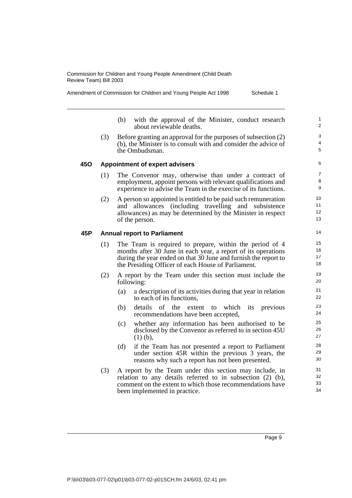Amendment of Commission for Children and Young People Act 1998 Schedule 1

- (b) with the approval of the Minister, conduct research about reviewable deaths.
- (3) Before granting an approval for the purposes of subsection (2) (b), the Minister is to consult with and consider the advice of the Ombudsman.

#### **45O Appointment of expert advisers**

- (1) The Convenor may, otherwise than under a contract of employment, appoint persons with relevant qualifications and experience to advise the Team in the exercise of its functions.
- (2) A person so appointed is entitled to be paid such remuneration and allowances (including travelling and subsistence allowances) as may be determined by the Minister in respect of the person.

#### **45P Annual report to Parliament**

- (1) The Team is required to prepare, within the period of 4 months after 30 June in each year, a report of its operations during the year ended on that 30 June and furnish the report to the Presiding Officer of each House of Parliament.
- (2) A report by the Team under this section must include the following:
	- (a) a description of its activities during that year in relation to each of its functions,
	- (b) details of the extent to which its previous recommendations have been accepted,
	- (c) whether any information has been authorised to be disclosed by the Convenor as referred to in section 45U (1) (b),
	- (d) if the Team has not presented a report to Parliament under section 45R within the previous 3 years, the reasons why such a report has not been presented.
- (3) A report by the Team under this section may include, in relation to any details referred to in subsection (2) (b), comment on the extent to which those recommendations have been implemented in practice.

Page 9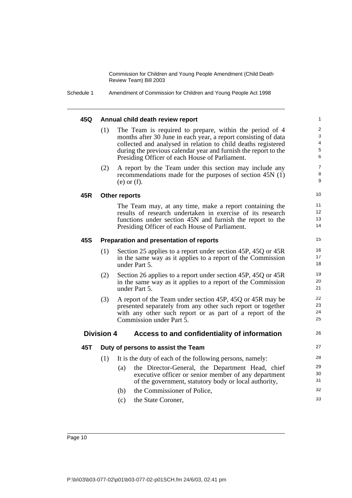Schedule 1 Amendment of Commission for Children and Young People Act 1998

#### **45Q Annual child death review report**

- (1) The Team is required to prepare, within the period of 4 months after 30 June in each year, a report consisting of data collected and analysed in relation to child deaths registered during the previous calendar year and furnish the report to the Presiding Officer of each House of Parliament.
- (2) A report by the Team under this section may include any recommendations made for the purposes of section 45N (1) (e) or (f).

 $\alpha$ 10

26

#### **45R Other reports**

The Team may, at any time, make a report containing the results of research undertaken in exercise of its research functions under section 45N and furnish the report to the Presiding Officer of each House of Parliament.

#### **45S Preparation and presentation of reports**

- (1) Section 25 applies to a report under section 45P, 45Q or 45R in the same way as it applies to a report of the Commission under Part 5.
- (2) Section 26 applies to a report under section 45P, 45Q or 45R in the same way as it applies to a report of the Commission under Part 5.
- (3) A report of the Team under section 45P, 45Q or 45R may be presented separately from any other such report or together with any other such report or as part of a report of the Commission under Part 5.

# **Division 4 Access to and confidentiality of information**

#### **45T Duty of persons to assist the Team**

- (1) It is the duty of each of the following persons, namely:
	- (a) the Director-General, the Department Head, chief executive officer or senior member of any department of the government, statutory body or local authority,
	- (b) the Commissioner of Police,
	- (c) the State Coroner,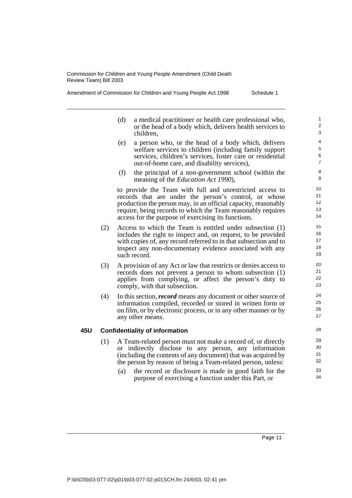Amendment of Commission for Children and Young People Act 1998 Schedule 1

- (d) a medical practitioner or health care professional who, or the head of a body which, delivers health services to children,
- (e) a person who, or the head of a body which, delivers welfare services to children (including family support services, children's services, foster care or residential out-of-home care, and disability services),
- (f) the principal of a non-government school (within the meaning of the *Education Act 1990*),

to provide the Team with full and unrestricted access to records that are under the person's control, or whose production the person may, in an official capacity, reasonably require, being records to which the Team reasonably requires access for the purpose of exercising its functions.

- (2) Access to which the Team is entitled under subsection (1) includes the right to inspect and, on request, to be provided with copies of, any record referred to in that subsection and to inspect any non-documentary evidence associated with any such record.
- (3) A provision of any Act or law that restricts or denies access to records does not prevent a person to whom subsection (1) applies from complying, or affect the person's duty to comply, with that subsection.
- (4) In this section, *record* means any document or other source of information compiled, recorded or stored in written form or on film, or by electronic process, or in any other manner or by any other means.

#### **45U Confidentiality of information**

- (1) A Team-related person must not make a record of, or directly or indirectly disclose to any person, any information (including the contents of any document) that was acquired by the person by reason of being a Team-related person, unless:
	- (a) the record or disclosure is made in good faith for the purpose of exercising a function under this Part, or

Page 11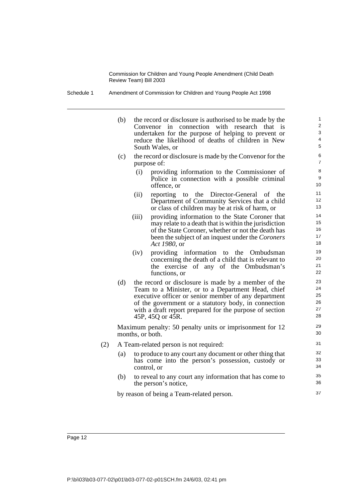Schedule 1 Amendment of Commission for Children and Young People Act 1998

- (b) the record or disclosure is authorised to be made by the Convenor in connection with research that is undertaken for the purpose of helping to prevent or reduce the likelihood of deaths of children in New South Wales, or
- (c) the record or disclosure is made by the Convenor for the purpose of:
	- (i) providing information to the Commissioner of Police in connection with a possible criminal offence, or

- (ii) reporting to the Director-General of the Department of Community Services that a child or class of children may be at risk of harm, or
- (iii) providing information to the State Coroner that may relate to a death that is within the jurisdiction of the State Coroner, whether or not the death has been the subject of an inquest under the *Coroners Act 1980*, or
- (iv) providing information to the Ombudsman concerning the death of a child that is relevant to the exercise of any of the Ombudsman's functions, or
- (d) the record or disclosure is made by a member of the Team to a Minister, or to a Department Head, chief executive officer or senior member of any department of the government or a statutory body, in connection with a draft report prepared for the purpose of section 45P, 45Q or 45R.

Maximum penalty: 50 penalty units or imprisonment for 12 months, or both.

- (2) A Team-related person is not required:
	- (a) to produce to any court any document or other thing that has come into the person's possession, custody or control, or
	- (b) to reveal to any court any information that has come to the person's notice,

by reason of being a Team-related person.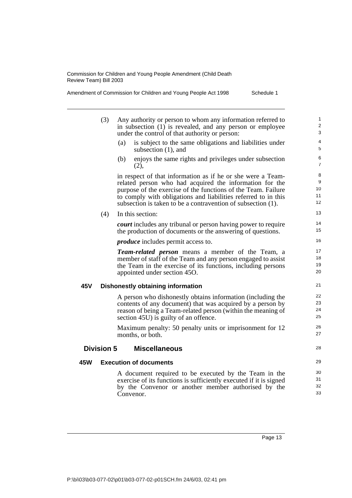| Amendment of Commission for Children and Young People Act 1998 |  | Schedule 1 |
|----------------------------------------------------------------|--|------------|
|----------------------------------------------------------------|--|------------|

|     | (3)               | Any authority or person to whom any information referred to<br>in subsection $(1)$ is revealed, and any person or employee<br>under the control of that authority or person:                                                                                                                                              | 1<br>2<br>3                           |
|-----|-------------------|---------------------------------------------------------------------------------------------------------------------------------------------------------------------------------------------------------------------------------------------------------------------------------------------------------------------------|---------------------------------------|
|     |                   | is subject to the same obligations and liabilities under<br>(a)<br>subsection $(1)$ , and                                                                                                                                                                                                                                 | 4<br>5                                |
|     |                   | enjoys the same rights and privileges under subsection<br>(b)<br>$(2)$ ,                                                                                                                                                                                                                                                  | 6<br>$\overline{7}$                   |
|     |                   | in respect of that information as if he or she were a Team-<br>related person who had acquired the information for the<br>purpose of the exercise of the functions of the Team. Failure<br>to comply with obligations and liabilities referred to in this<br>subsection is taken to be a contravention of subsection (1). | 8<br>9<br>10 <sup>°</sup><br>11<br>12 |
|     | (4)               | In this section:                                                                                                                                                                                                                                                                                                          | 13                                    |
|     |                   | court includes any tribunal or person having power to require<br>the production of documents or the answering of questions.                                                                                                                                                                                               | 14<br>15                              |
|     |                   | <i>produce</i> includes permit access to.                                                                                                                                                                                                                                                                                 | 16                                    |
|     |                   | <b>Team-related person</b> means a member of the Team, a<br>member of staff of the Team and any person engaged to assist<br>the Team in the exercise of its functions, including persons<br>appointed under section 45O.                                                                                                  | 17<br>18<br>19<br>20                  |
| 45V |                   | <b>Dishonestly obtaining information</b>                                                                                                                                                                                                                                                                                  | 21                                    |
|     |                   | A person who dishonestly obtains information (including the<br>contents of any document) that was acquired by a person by<br>reason of being a Team-related person (within the meaning of<br>section 45U) is guilty of an offence.                                                                                        | 22<br>23<br>24<br>25                  |
|     |                   | Maximum penalty: 50 penalty units or imprisonment for 12<br>months, or both.                                                                                                                                                                                                                                              | 26<br>27                              |
|     | <b>Division 5</b> | <b>Miscellaneous</b>                                                                                                                                                                                                                                                                                                      | 28                                    |
| 45W |                   | <b>Execution of documents</b>                                                                                                                                                                                                                                                                                             | 29                                    |
|     |                   | A document required to be executed by the Team in the<br>exercise of its functions is sufficiently executed if it is signed<br>by the Convenor or another member authorised by the<br>Convenor.                                                                                                                           | 30<br>31<br>32<br>33                  |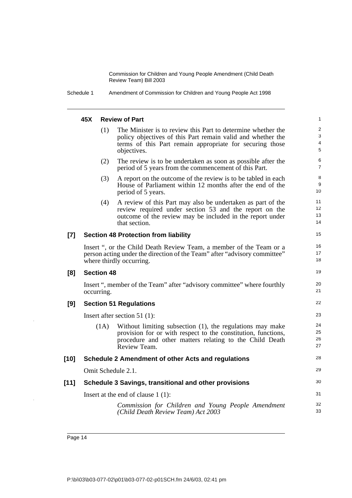Schedule 1 Amendment of Commission for Children and Young People Act 1998

#### **45X Review of Part**

(1) The Minister is to review this Part to determine whether the policy objectives of this Part remain valid and whether the terms of this Part remain appropriate for securing those objectives.

15

16 17 18

19

20 21 22

 $29$ 

30

31 32 33

- (2) The review is to be undertaken as soon as possible after the period of 5 years from the commencement of this Part.
- (3) A report on the outcome of the review is to be tabled in each House of Parliament within 12 months after the end of the period of 5 years.
- (4) A review of this Part may also be undertaken as part of the review required under section 53 and the report on the outcome of the review may be included in the report under that section.

#### **[7] Section 48 Protection from liability**

Insert ", or the Child Death Review Team, a member of the Team or a person acting under the direction of the Team" after "advisory committee" where thirdly occurring.

#### **[8] Section 48**

Insert ", member of the Team" after "advisory committee" where fourthly occurring.

#### **[9] Section 51 Regulations**

Insert after section 51 (1):

(1A) Without limiting subsection (1), the regulations may make provision for or with respect to the constitution, functions, procedure and other matters relating to the Child Death Review Team.

### **[10] Schedule 2 Amendment of other Acts and regulations**

Omit Schedule 2.1.

#### **[11] Schedule 3 Savings, transitional and other provisions**

Insert at the end of clause 1 (1):

*Commission for Children and Young People Amendment (Child Death Review Team) Act 2003*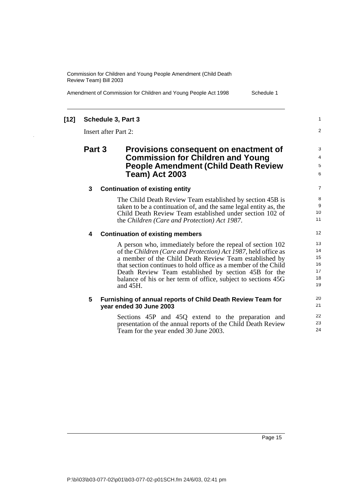Amendment of Commission for Children and Young People Act 1998 Schedule 1

1  $\overline{2}$ 

#### **[12] Schedule 3, Part 3**

Insert after Part 2:

### **Part 3 Provisions consequent on enactment of Commission for Children and Young People Amendment (Child Death Review Team) Act 2003**

#### **3 Continuation of existing entity**

The Child Death Review Team established by section 45B is taken to be a continuation of, and the same legal entity as, the Child Death Review Team established under section 102 of the *Children (Care and Protection) Act 1987*.

#### **4 Continuation of existing members**

A person who, immediately before the repeal of section 102 of the *Children (Care and Protection) Act 1987*, held office as a member of the Child Death Review Team established by that section continues to hold office as a member of the Child Death Review Team established by section 45B for the balance of his or her term of office, subject to sections 45G and 45H.

#### **5 Furnishing of annual reports of Child Death Review Team for year ended 30 June 2003**

Sections 45P and 45Q extend to the preparation and presentation of the annual reports of the Child Death Review Team for the year ended 30 June 2003.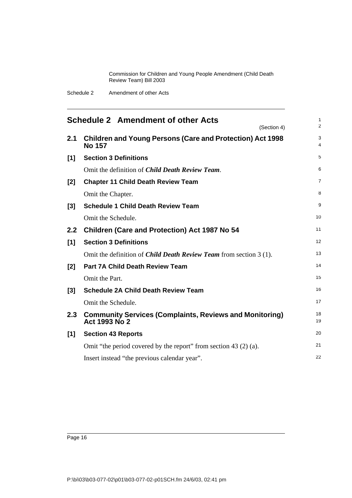Schedule 2 Amendment of other Acts

<span id="page-21-0"></span>

|       | <b>Schedule 2 Amendment of other Acts</b><br>(Section 4)                          | 1<br>$\overline{2}$ |
|-------|-----------------------------------------------------------------------------------|---------------------|
| 2.1   | <b>Children and Young Persons (Care and Protection) Act 1998</b><br><b>No 157</b> | 3<br>4              |
| [1]   | <b>Section 3 Definitions</b>                                                      | 5                   |
|       | Omit the definition of <i>Child Death Review Team</i> .                           | 6                   |
| [2]   | <b>Chapter 11 Child Death Review Team</b>                                         | $\overline{7}$      |
|       | Omit the Chapter.                                                                 | 8                   |
| $[3]$ | <b>Schedule 1 Child Death Review Team</b>                                         | 9                   |
|       | Omit the Schedule.                                                                | 10                  |
| 2.2   | <b>Children (Care and Protection) Act 1987 No 54</b>                              | 11                  |
| [1]   | <b>Section 3 Definitions</b>                                                      | 12                  |
|       | Omit the definition of <i>Child Death Review Team</i> from section 3 (1).         | 13                  |
| [2]   | <b>Part 7A Child Death Review Team</b>                                            | 14                  |
|       | Omit the Part.                                                                    | 15                  |
| $[3]$ | <b>Schedule 2A Child Death Review Team</b>                                        | 16                  |
|       | Omit the Schedule.                                                                | 17                  |
| 2.3   | <b>Community Services (Complaints, Reviews and Monitoring)</b><br>Act 1993 No 2   | 18<br>19            |
| $[1]$ | <b>Section 43 Reports</b>                                                         | 20                  |
|       | Omit "the period covered by the report" from section 43 $(2)$ (a).                | 21                  |
|       | Insert instead "the previous calendar year".                                      | 22                  |
|       |                                                                                   |                     |